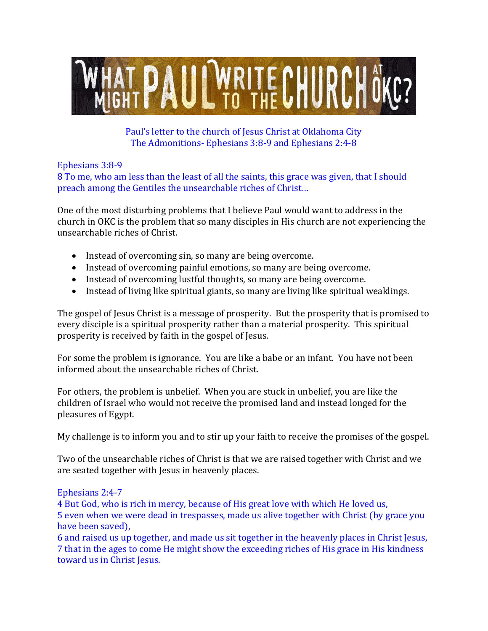

Paul's letter to the church of Jesus Christ at Oklahoma City The Admonitions- Ephesians 3:8-9 and Ephesians 2:4-8

Ephesians 3:8-9

8 To me, who am less than the least of all the saints, this grace was given, that I should preach among the Gentiles the unsearchable riches of Christ…

One of the most disturbing problems that I believe Paul would want to address in the church in OKC is the problem that so many disciples in His church are not experiencing the unsearchable riches of Christ.

- Instead of overcoming sin, so many are being overcome.
- Instead of overcoming painful emotions, so many are being overcome.
- Instead of overcoming lustful thoughts, so many are being overcome.
- Instead of living like spiritual giants, so many are living like spiritual weaklings.

The gospel of Jesus Christ is a message of prosperity. But the prosperity that is promised to every disciple is a spiritual prosperity rather than a material prosperity. This spiritual prosperity is received by faith in the gospel of Jesus.

For some the problem is ignorance. You are like a babe or an infant. You have not been informed about the unsearchable riches of Christ.

For others, the problem is unbelief. When you are stuck in unbelief, you are like the children of Israel who would not receive the promised land and instead longed for the pleasures of Egypt.

My challenge is to inform you and to stir up your faith to receive the promises of the gospel.

Two of the unsearchable riches of Christ is that we are raised together with Christ and we are seated together with Jesus in heavenly places.

## Ephesians 2:4-7

4 But God, who is rich in mercy, because of His great love with which He loved us, 5 even when we were dead in trespasses, made us alive together with Christ (by grace you have been saved),

6 and raised us up together, and made us sit together in the heavenly places in Christ Jesus, 7 that in the ages to come He might show the exceeding riches of His grace in His kindness toward us in Christ Jesus.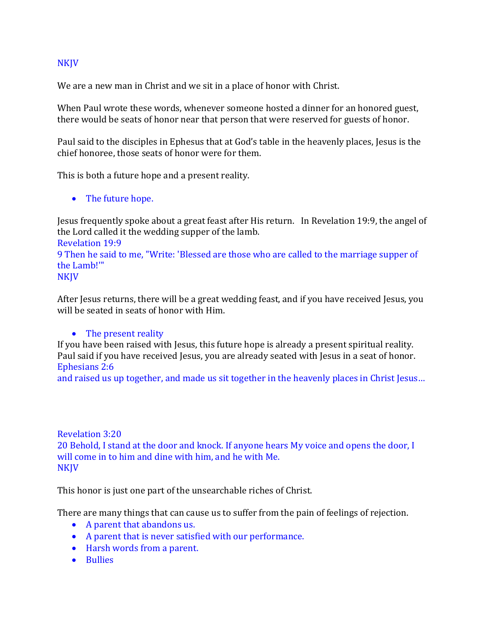## NKJV

We are a new man in Christ and we sit in a place of honor with Christ.

When Paul wrote these words, whenever someone hosted a dinner for an honored guest, there would be seats of honor near that person that were reserved for guests of honor.

Paul said to the disciples in Ephesus that at God's table in the heavenly places, Jesus is the chief honoree, those seats of honor were for them.

This is both a future hope and a present reality.

• The future hope.

Jesus frequently spoke about a great feast after His return. In Revelation 19:9, the angel of the Lord called it the wedding supper of the lamb.

Revelation 19:9 9 Then he said to me, "Write: 'Blessed are those who are called to the marriage supper of the Lamb!'" **NKJV** 

After Jesus returns, there will be a great wedding feast, and if you have received Jesus, you will be seated in seats of honor with Him.

## • The present reality

If you have been raised with Jesus, this future hope is already a present spiritual reality. Paul said if you have received Jesus, you are already seated with Jesus in a seat of honor. Ephesians 2:6

and raised us up together, and made us sit together in the heavenly places in Christ Jesus…

## Revelation 3:20 20 Behold, I stand at the door and knock. If anyone hears My voice and opens the door, I will come in to him and dine with him, and he with Me. NKJV

This honor is just one part of the unsearchable riches of Christ.

There are many things that can cause us to suffer from the pain of feelings of rejection.

- A parent that abandons us.
- A parent that is never satisfied with our performance.
- Harsh words from a parent.
- Bullies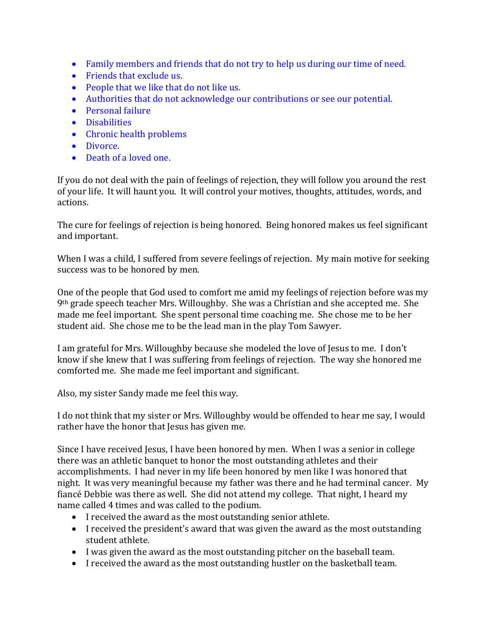- Family members and friends that do not try to help us during our time of need.
- Friends that exclude us.
- People that we like that do not like us.
- Authorities that do not acknowledge our contributions or see our potential.
- Personal failure
- Disabilities
- Chronic health problems
- Divorce.
- Death of a loved one.

If you do not deal with the pain of feelings of rejection, they will follow you around the rest of your life. It will haunt you. It will control your motives, thoughts, attitudes, words, and actions.

The cure for feelings of rejection is being honored. Being honored makes us feel significant and important.

When I was a child, I suffered from severe feelings of rejection. My main motive for seeking success was to be honored by men.

One of the people that God used to comfort me amid my feelings of rejection before was my 9th grade speech teacher Mrs. Willoughby. She was a Christian and she accepted me. She made me feel important. She spent personal time coaching me. She chose me to be her student aid. She chose me to be the lead man in the play Tom Sawyer.

I am grateful for Mrs. Willoughby because she modeled the love of Jesus to me. I don't know if she knew that I was suffering from feelings of rejection. The way she honored me comforted me. She made me feel important and significant.

Also, my sister Sandy made me feel this way.

I do not think that my sister or Mrs. Willoughby would be offended to hear me say, I would rather have the honor that Jesus has given me.

Since I have received Jesus, I have been honored by men. When I was a senior in college there was an athletic banquet to honor the most outstanding athletes and their accomplishments. I had never in my life been honored by men like I was honored that night. It was very meaningful because my father was there and he had terminal cancer. My fiancé Debbie was there as well. She did not attend my college. That night, I heard my name called 4 times and was called to the podium.

- I received the award as the most outstanding senior athlete.
- I received the president's award that was given the award as the most outstanding student athlete.
- I was given the award as the most outstanding pitcher on the baseball team.
- I received the award as the most outstanding hustler on the basketball team.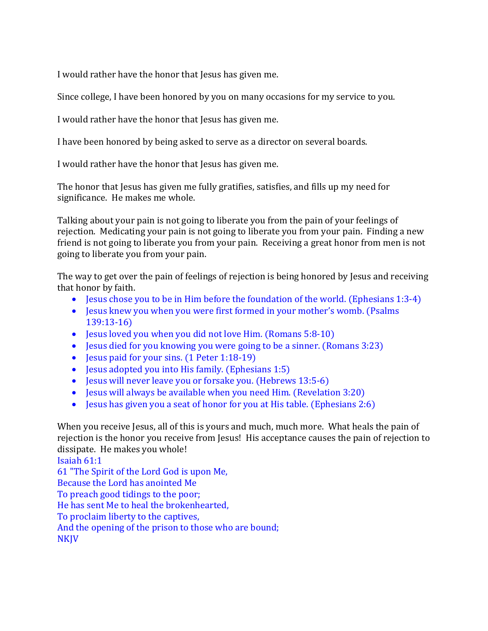I would rather have the honor that Jesus has given me.

Since college, I have been honored by you on many occasions for my service to you.

I would rather have the honor that Jesus has given me.

I have been honored by being asked to serve as a director on several boards.

I would rather have the honor that Jesus has given me.

The honor that Jesus has given me fully gratifies, satisfies, and fills up my need for significance. He makes me whole.

Talking about your pain is not going to liberate you from the pain of your feelings of rejection. Medicating your pain is not going to liberate you from your pain. Finding a new friend is not going to liberate you from your pain. Receiving a great honor from men is not going to liberate you from your pain.

The way to get over the pain of feelings of rejection is being honored by Jesus and receiving that honor by faith.

- Jesus chose you to be in Him before the foundation of the world. (Ephesians 1:3-4)
- Jesus knew you when you were first formed in your mother's womb. (Psalms 139:13-16)
- Jesus loved you when you did not love Him. (Romans 5:8-10)
- Jesus died for you knowing you were going to be a sinner. (Romans 3:23)
- Jesus paid for your sins. (1 Peter 1:18-19)
- Jesus adopted you into His family. (Ephesians 1:5)
- Jesus will never leave you or forsake you. (Hebrews 13:5-6)
- Jesus will always be available when you need Him. (Revelation 3:20)
- Jesus has given you a seat of honor for you at His table. (Ephesians 2:6)

When you receive Jesus, all of this is yours and much, much more. What heals the pain of rejection is the honor you receive from Jesus! His acceptance causes the pain of rejection to dissipate. He makes you whole!

Isaiah 61:1 61 "The Spirit of the Lord God is upon Me, Because the Lord has anointed Me To preach good tidings to the poor; He has sent Me to heal the brokenhearted, To proclaim liberty to the captives, And the opening of the prison to those who are bound; NKJV